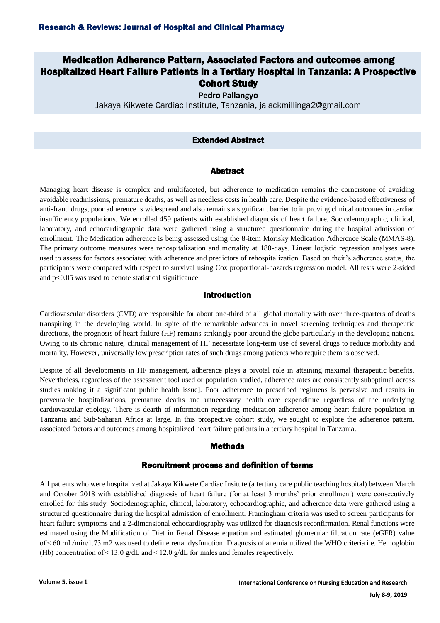# Medication Adherence Pattern, Associated Factors and outcomes among Hospitalized Heart Failure Patients in a Tertiary Hospital in Tanzania: A Prospective Cohort Study

**Pedro Pallangyo**

Jakaya Kikwete Cardiac Institute, Tanzania, jalackmillinga2@gmail.com

# Extended Abstract

# Abstract

Managing heart disease is complex and multifaceted, but adherence to medication remains the cornerstone of avoiding avoidable readmissions, premature deaths, as well as needless costs in health care. Despite the evidence-based effectiveness of anti-fraud drugs, poor adherence is widespread and also remains a significant barrier to improving clinical outcomes in cardiac insufficiency populations. We enrolled 459 patients with established diagnosis of heart failure. Sociodemographic, clinical, laboratory, and echocardiographic data were gathered using a structured questionnaire during the hospital admission of enrollment. The Medication adherence is being assessed using the 8-item Morisky Medication Adherence Scale (MMAS-8). The primary outcome measures were rehospitalization and mortality at 180-days. Linear logistic regression analyses were used to assess for factors associated with adherence and predictors of rehospitalization. Based on their's adherence status, the participants were compared with respect to survival using Cox proportional-hazards regression model. All tests were 2-sided and p<0.05 was used to denote statistical significance.

## Introduction

Cardiovascular disorders (CVD) are responsible for about one-third of all global mortality with over three-quarters of deaths transpiring in the developing world. In spite of the remarkable advances in novel screening techniques and therapeutic directions, the prognosis of heart failure (HF) remains strikingly poor around the globe particularly in the developing nations. Owing to its chronic nature, clinical management of HF necessitate long-term use of several drugs to reduce morbidity and mortality. However, universally low prescription rates of such drugs among patients who require them is observed.

Despite of all developments in HF management, adherence plays a pivotal role in attaining maximal therapeutic benefits. Nevertheless, regardless of the assessment tool used or population studied, adherence rates are consistently suboptimal across studies making it a significant public health issue]. Poor adherence to prescribed regimens is pervasive and results in preventable hospitalizations, premature deaths and unnecessary health care expenditure regardless of the underlying cardiovascular etiology. There is dearth of information regarding medication adherence among heart failure population in Tanzania and Sub-Saharan Africa at large. In this prospective cohort study, we sought to explore the adherence pattern, associated factors and outcomes among hospitalized heart failure patients in a tertiary hospital in Tanzania.

## Methods

# Recruitment process and definition of terms

All patients who were hospitalized at Jakaya Kikwete Cardiac Insitute (a tertiary care public teaching hospital) between March and October 2018 with established diagnosis of heart failure (for at least 3 months' prior enrollment) were consecutively enrolled for this study. Sociodemographic, clinical, laboratory, echocardiographic, and adherence data were gathered using a structured questionnaire during the hospital admission of enrollment. Framingham criteria was used to screen participants for heart failure symptoms and a 2-dimensional echocardiography was utilized for diagnosis reconfirmation. Renal functions were estimated using the Modification of Diet in Renal Disease equation and estimated glomerular filtration rate (eGFR) value of < 60 mL/min/1.73 m2 was used to define renal dysfunction. Diagnosis of anemia utilized the WHO criteria i.e. Hemoglobin (Hb) concentration of  $\leq$  13.0 g/dL and  $\leq$  12.0 g/dL for males and females respectively.